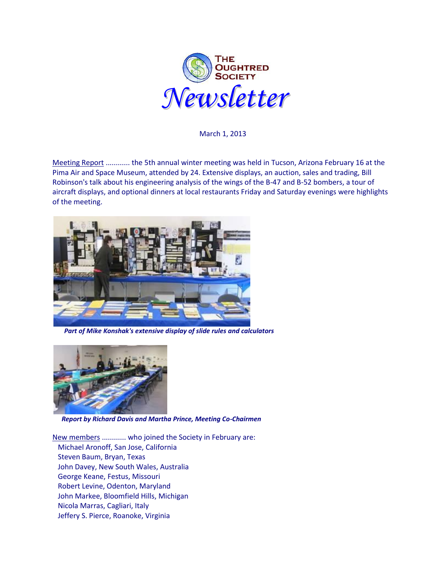

March 1, 2013

Meeting Report ............ the 5th annual winter meeting was held in Tucson, Arizona February 16 at the Pima Air and Space Museum, attended by 24. Extensive displays, an auction, sales and trading, Bill Robinson's talk about his engineering analysis of the wings of the B-47 and B-52 bombers, a tour of aircraft displays, and optional dinners at local restaurants Friday and Saturday evenings were highlights of the meeting.



 *Part of Mike Konshak's extensive display of slide rules and calculators*



*Report by Richard Davis and Martha Prince, Meeting Co-Chairmen*

New members ............ who joined the Society in February are: Michael Aronoff, San Jose, California Steven Baum, Bryan, Texas John Davey, New South Wales, Australia George Keane, Festus, Missouri Robert Levine, Odenton, Maryland John Markee, Bloomfield Hills, Michigan Nicola Marras, Cagliari, Italy Jeffery S. Pierce, Roanoke, Virginia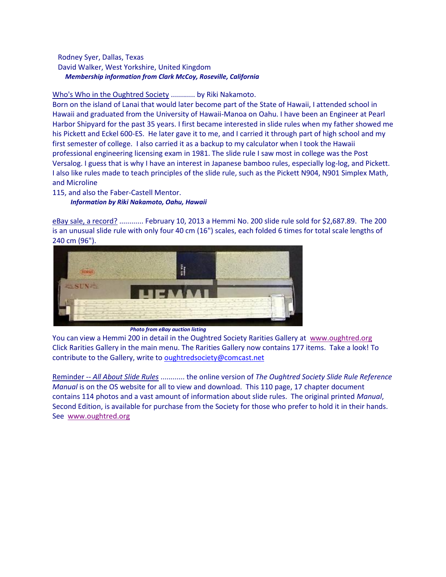## Rodney Syer, Dallas, Texas David Walker, West Yorkshire, United Kingdom *Membership information from Clark McCoy, Roseville, California*

## Who's Who in the Oughtred Society ............ by Riki Nakamoto.

Born on the island of Lanai that would later become part of the State of Hawaii, I attended school in Hawaii and graduated from the University of Hawaii-Manoa on Oahu. I have been an Engineer at Pearl Harbor Shipyard for the past 35 years. I first became interested in slide rules when my father showed me his Pickett and Eckel 600-ES. He later gave it to me, and I carried it through part of high school and my first semester of college. I also carried it as a backup to my calculator when I took the Hawaii professional engineering licensing exam in 1981. The slide rule I saw most in college was the Post Versalog. I guess that is why I have an interest in Japanese bamboo rules, especially log-log, and Pickett. I also like rules made to teach principles of the slide rule, such as the Pickett N904, N901 Simplex Math, and Microline

115, and also the Faber-Castell Mentor.

*Information by Riki Nakamoto, Oahu, Hawaii*

eBay sale, a record? ............ February 10, 2013 a Hemmi No. 200 slide rule sold for \$2,687.89. The 200 is an unusual slide rule with only four 40 cm (16") scales, each folded 6 times for total scale lengths of 240 cm (96").



*Photo from eBay auction listing*

You can view a Hemmi 200 in detail in the Oughtred Society Rarities Gallery at [www.oughtred.org](http://www.oughtred.org/)  Click Rarities Gallery in the main menu. The Rarities Gallery now contains 177 items. Take a look! To contribute to the Gallery, write t[o oughtredsociety@comcast.net](mailto:oughtredsociety@comcast.net)

Reminder -- *All About Slide Rules* ............ the online version of *The Oughtred Society Slide Rule Reference Manual* is on the OS website for all to view and download. This 110 page, 17 chapter document contains 114 photos and a vast amount of information about slide rules. The original printed *Manual*, Second Edition, is available for purchase from the Society for those who prefer to hold it in their hands. See [www.oughtred.org](http://www.oughtred.org/)